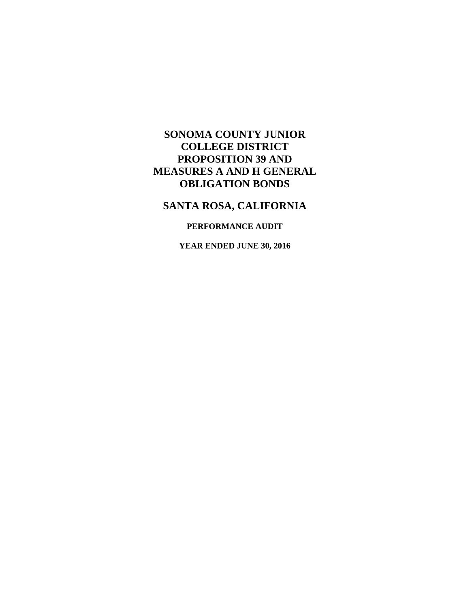# **SANTA ROSA, CALIFORNIA**

## **PERFORMANCE AUDIT**

**YEAR ENDED JUNE 30, 2016**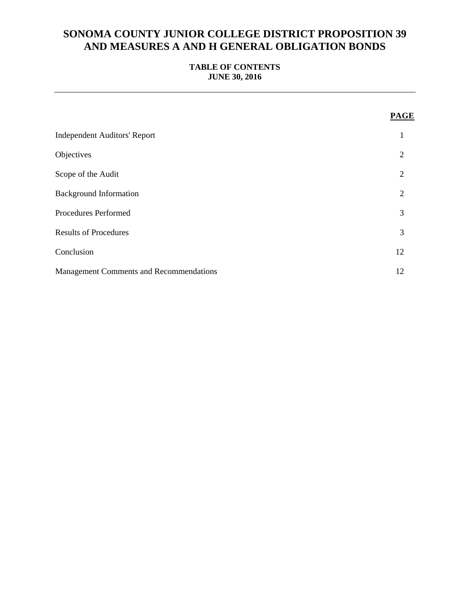## **TABLE OF CONTENTS JUNE 30, 2016**

|                                                | <b>PAGE</b>    |
|------------------------------------------------|----------------|
| <b>Independent Auditors' Report</b>            | 1              |
| Objectives                                     | 2              |
| Scope of the Audit                             | 2              |
| <b>Background Information</b>                  | $\overline{2}$ |
| Procedures Performed                           | 3              |
| <b>Results of Procedures</b>                   | 3              |
| Conclusion                                     | 12             |
| <b>Management Comments and Recommendations</b> | 12             |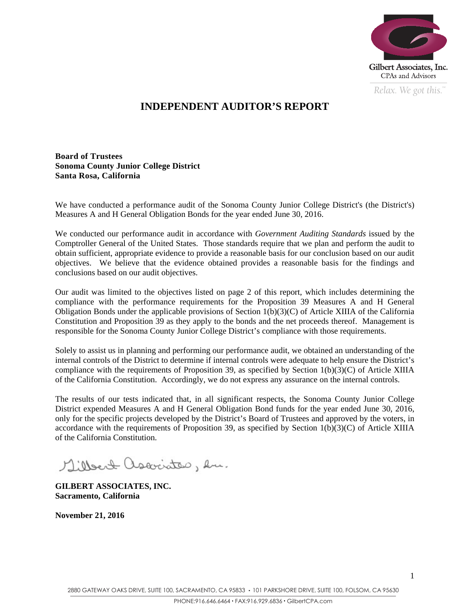

*Relax. We got this.*  $\alpha$ 

# **INDEPENDENT AUDITOR'S REPORT**

**Board of Trustees Sonoma County Junior College District Santa Rosa, California** 

We have conducted a performance audit of the Sonoma County Junior College District's (the District's) Measures A and H General Obligation Bonds for the year ended June 30, 2016.

We conducted our performance audit in accordance with *Government Auditing Standards* issued by the Comptroller General of the United States. Those standards require that we plan and perform the audit to obtain sufficient, appropriate evidence to provide a reasonable basis for our conclusion based on our audit objectives. We believe that the evidence obtained provides a reasonable basis for the findings and conclusions based on our audit objectives.

Our audit was limited to the objectives listed on page 2 of this report, which includes determining the compliance with the performance requirements for the Proposition 39 Measures A and H General Obligation Bonds under the applicable provisions of Section  $1(b)(3)(C)$  of Article XIIIA of the California Constitution and Proposition 39 as they apply to the bonds and the net proceeds thereof. Management is responsible for the Sonoma County Junior College District's compliance with those requirements.

Solely to assist us in planning and performing our performance audit, we obtained an understanding of the internal controls of the District to determine if internal controls were adequate to help ensure the District's compliance with the requirements of Proposition 39, as specified by Section 1(b)(3)(C) of Article XIIIA of the California Constitution. Accordingly, we do not express any assurance on the internal controls.

The results of our tests indicated that, in all significant respects, the Sonoma County Junior College District expended Measures A and H General Obligation Bond funds for the year ended June 30, 2016, only for the specific projects developed by the District's Board of Trustees and approved by the voters, in accordance with the requirements of Proposition 39, as specified by Section 1(b)(3)(C) of Article XIIIA of the California Constitution.

Milleat associates, en.

**GILBERT ASSOCIATES, INC. Sacramento, California** 

**November 21, 2016**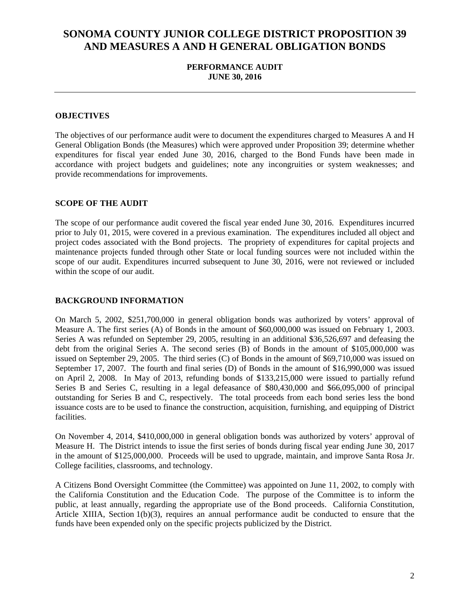## **PERFORMANCE AUDIT JUNE 30, 2016**

### **OBJECTIVES**

The objectives of our performance audit were to document the expenditures charged to Measures A and H General Obligation Bonds (the Measures) which were approved under Proposition 39; determine whether expenditures for fiscal year ended June 30, 2016, charged to the Bond Funds have been made in accordance with project budgets and guidelines; note any incongruities or system weaknesses; and provide recommendations for improvements.

### **SCOPE OF THE AUDIT**

The scope of our performance audit covered the fiscal year ended June 30, 2016. Expenditures incurred prior to July 01, 2015, were covered in a previous examination. The expenditures included all object and project codes associated with the Bond projects. The propriety of expenditures for capital projects and maintenance projects funded through other State or local funding sources were not included within the scope of our audit. Expenditures incurred subsequent to June 30, 2016, were not reviewed or included within the scope of our audit.

#### **BACKGROUND INFORMATION**

On March 5, 2002, \$251,700,000 in general obligation bonds was authorized by voters' approval of Measure A. The first series (A) of Bonds in the amount of \$60,000,000 was issued on February 1, 2003. Series A was refunded on September 29, 2005, resulting in an additional \$36,526,697 and defeasing the debt from the original Series A. The second series (B) of Bonds in the amount of \$105,000,000 was issued on September 29, 2005. The third series (C) of Bonds in the amount of \$69,710,000 was issued on September 17, 2007. The fourth and final series (D) of Bonds in the amount of \$16,990,000 was issued on April 2, 2008. In May of 2013, refunding bonds of \$133,215,000 were issued to partially refund Series B and Series C, resulting in a legal defeasance of \$80,430,000 and \$66,095,000 of principal outstanding for Series B and C, respectively. The total proceeds from each bond series less the bond issuance costs are to be used to finance the construction, acquisition, furnishing, and equipping of District facilities.

On November 4, 2014, \$410,000,000 in general obligation bonds was authorized by voters' approval of Measure H. The District intends to issue the first series of bonds during fiscal year ending June 30, 2017 in the amount of \$125,000,000. Proceeds will be used to upgrade, maintain, and improve Santa Rosa Jr. College facilities, classrooms, and technology.

A Citizens Bond Oversight Committee (the Committee) was appointed on June 11, 2002, to comply with the California Constitution and the Education Code. The purpose of the Committee is to inform the public, at least annually, regarding the appropriate use of the Bond proceeds. California Constitution, Article XIIIA, Section 1(b)(3), requires an annual performance audit be conducted to ensure that the funds have been expended only on the specific projects publicized by the District.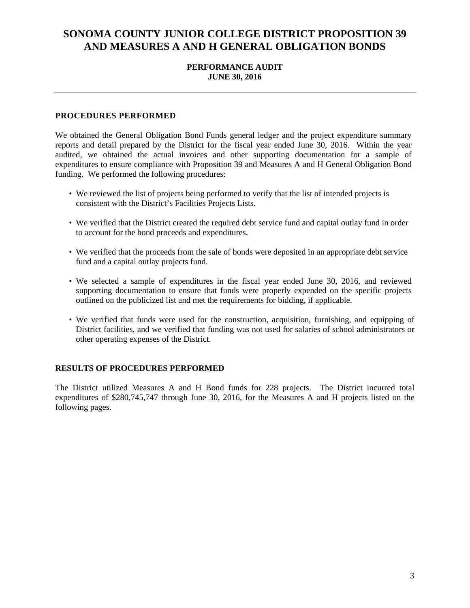### **PERFORMANCE AUDIT JUNE 30, 2016**

### **PROCEDURES PERFORMED**

We obtained the General Obligation Bond Funds general ledger and the project expenditure summary reports and detail prepared by the District for the fiscal year ended June 30, 2016. Within the year audited, we obtained the actual invoices and other supporting documentation for a sample of expenditures to ensure compliance with Proposition 39 and Measures A and H General Obligation Bond funding. We performed the following procedures:

- We reviewed the list of projects being performed to verify that the list of intended projects is consistent with the District's Facilities Projects Lists.
- We verified that the District created the required debt service fund and capital outlay fund in order to account for the bond proceeds and expenditures.
- We verified that the proceeds from the sale of bonds were deposited in an appropriate debt service fund and a capital outlay projects fund.
- We selected a sample of expenditures in the fiscal year ended June 30, 2016, and reviewed supporting documentation to ensure that funds were properly expended on the specific projects outlined on the publicized list and met the requirements for bidding, if applicable.
- We verified that funds were used for the construction, acquisition, furnishing, and equipping of District facilities, and we verified that funding was not used for salaries of school administrators or other operating expenses of the District.

### **RESULTS OF PROCEDURES PERFORMED**

The District utilized Measures A and H Bond funds for 228 projects. The District incurred total expenditures of \$280,745,747 through June 30, 2016, for the Measures A and H projects listed on the following pages.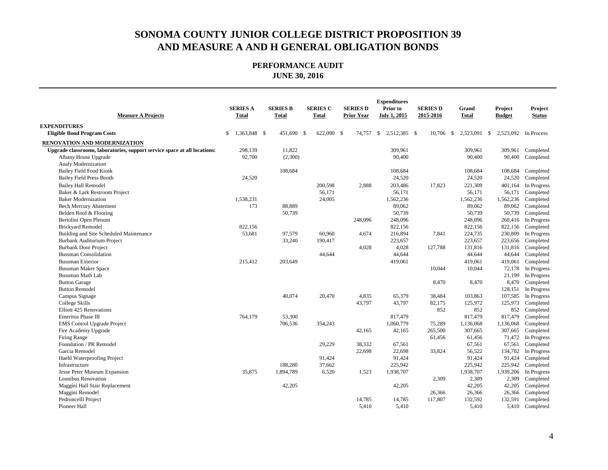| <b>Measure A Projects</b>                                                 | <b>SERIES A</b><br><b>Total</b> | <b>SERIES B</b><br><b>Total</b> | <b>SERIES C</b><br>Total | <b>SERIES D</b><br><b>Prior Year</b> | <b>Expenditures</b><br>Prior to<br><b>July 1, 2015</b> | <b>SERIES D</b><br>2015-2016 | Grand<br>Total       | Project<br><b>Budget</b> | Project<br><b>Status</b> |
|---------------------------------------------------------------------------|---------------------------------|---------------------------------|--------------------------|--------------------------------------|--------------------------------------------------------|------------------------------|----------------------|--------------------------|--------------------------|
| <b>EXPENDITURES</b>                                                       |                                 |                                 |                          |                                      |                                                        |                              |                      |                          |                          |
| <b>Eligible Bond Program Costs</b>                                        | \$<br>1,363,848 \$              | 451,690 \$                      | 622,090 \$               | 74.757                               | <sup>\$</sup><br>2.512.385 \$                          | 10,706                       | 2.523.091 \$<br>-S   | 2.523,092                | In Process               |
| RENOVATION AND MODERNIZATION                                              |                                 |                                 |                          |                                      |                                                        |                              |                      |                          |                          |
| Upgrade classrooms, laboratories, support service space at all locations: | 298,139                         | 11,822                          |                          |                                      | 309,961                                                |                              | 309,961              | 309,961                  | Completed                |
| Albany House Upgrade                                                      | 92,700                          | (2,300)                         |                          |                                      | 90,400                                                 |                              | 90,400               | 90,400                   | Completed                |
| Analy Modernization                                                       |                                 |                                 |                          |                                      |                                                        |                              |                      |                          |                          |
| <b>Bailey Field Food Kiosk</b>                                            |                                 | 108,684                         |                          |                                      | 108,684                                                |                              | 108,684              | 108,684                  | Completed                |
| <b>Bailey Field Press Booth</b>                                           | 24,520                          |                                 |                          |                                      | 24,520                                                 |                              | 24,520               | 24,520                   | Completed                |
| <b>Bailey Hall Remodel</b>                                                |                                 |                                 | 200,598                  | 2,888                                | 203,486                                                | 17,823                       | 221,309              | 401,164                  | In Progress              |
| Baker & Lark Restroom Project                                             |                                 |                                 | 56,171                   |                                      | 56,171                                                 |                              | 56,171               | 56,171                   | Completed                |
| <b>Baker Modernization</b>                                                | 1,538,231                       |                                 | 24,005                   |                                      | 1,562,236                                              |                              | 1,562,236            | 1,562,236                | Completed                |
| <b>Bech Mercury Abatement</b>                                             | 173                             | 88,889                          |                          |                                      | 89,062                                                 |                              | 89,062               | 89,062                   | Completed                |
| Belden Roof & Flooring                                                    |                                 | 50,739                          |                          |                                      | 50,739                                                 |                              | 50,739               | 50,739                   | Completed                |
| Bertolini Open Plenum                                                     |                                 |                                 |                          | 248,096                              | 248,096                                                |                              | 248,096              | 260,416                  | In Progress              |
| <b>Brickyard Remodel</b>                                                  | 822,156                         |                                 |                          |                                      | 822,156                                                |                              | 822,156              | 822,156                  | Completed                |
| Building and Site Scheduled Maintenance                                   | 53,681                          | 97,579                          | 60,960                   | 4,674                                | 216,894                                                | 7,841                        | 224,735              | 230,809                  | In Progress              |
| Burbank Auditorium Project                                                |                                 | 33,240                          | 190,417                  |                                      | 223,657                                                |                              | 223,657              | 223,656                  | Completed                |
| <b>Burbank Door Project</b>                                               |                                 |                                 |                          | 4,028                                | 4,028                                                  | 127,788                      | 131,816              | 131,816                  | Completed                |
| <b>Bussman Consolidation</b>                                              |                                 |                                 | 44,644                   |                                      | 44,644                                                 |                              | 44,644               | 44,644                   | Completed                |
| <b>Bussman Exterior</b>                                                   | 215,412                         | 203,649                         |                          |                                      | 419,061                                                |                              | 419,061              | 419,061                  | Completed                |
| <b>Bussman Maker Space</b>                                                |                                 |                                 |                          |                                      |                                                        | 10,044                       | 10,044               | 72,178                   | In Progress              |
| <b>Bussman Math Lab</b>                                                   |                                 |                                 |                          |                                      |                                                        |                              |                      | 21,199                   | In Progress              |
| <b>Button Garage</b>                                                      |                                 |                                 |                          |                                      |                                                        | 8,470                        | 8,470                | 8,470                    | Completed                |
| <b>Button Remodel</b>                                                     |                                 |                                 |                          |                                      |                                                        |                              |                      | 128,151                  | In Progress              |
| Campus Signage                                                            |                                 | 40,074                          | 20,470                   | 4,835                                | 65,379                                                 | 38,484                       | 103,863              | 107,585                  | In Progress              |
| College Skills                                                            |                                 |                                 |                          | 43,797                               | 43,797                                                 | 82,175                       | 125,972              | 125,973                  | Completed                |
| <b>Elliott 425 Renovations</b>                                            |                                 |                                 |                          |                                      |                                                        | 852                          | 852                  | 852                      | Completed                |
| <b>Emeritus Phase III</b>                                                 | 764,179                         | 53,300                          |                          |                                      | 817,479                                                |                              | 817,479              | 817,479                  | Completed                |
| <b>EMS</b> Control Upgrade Project                                        |                                 | 706,536                         | 354,243                  |                                      | 1,060,779                                              | 75,289                       | 1,136,068            | 1,136,068                | Completed                |
| Fire Academy Upgrade                                                      |                                 |                                 |                          | 42,165                               | 42,165                                                 | 265,500                      | 307,665              | 307,665                  | Completed                |
| Firing Range                                                              |                                 |                                 |                          |                                      |                                                        | 61,456                       | 61,456               | 71,472                   | In Progress              |
| Foundation / PR Remodel                                                   |                                 |                                 | 29,229                   | 38,332                               | 67,561                                                 |                              | 67,561               | 67,561                   | Completed                |
| Garcia Remodel                                                            |                                 |                                 |                          | 22,698                               | 22,698<br>91,424                                       | 33,824                       | 56,522<br>91,424     | 134,702<br>91,424        | In Progress              |
| Haehl Waterproofing Project                                               |                                 |                                 | 91,424                   |                                      |                                                        |                              |                      | 225,942                  | Completed                |
| Infrastructure                                                            |                                 | 188,280                         | 37,662                   |                                      | 225,942                                                |                              | 225,942<br>1,938,707 |                          | Completed<br>In Progress |
| Jesse Peter Museum Expansion                                              | 35,875                          | 1,894,789                       | 6,520                    | 1,523                                | 1,938,707                                              |                              | 2,309                | 1,939,206<br>2,309       |                          |
| Lounibus Renovation<br>Maggini Hall Stair Replacement                     |                                 | 42,205                          |                          |                                      | 42,205                                                 | 2,309                        | 42,205               | 42,205                   | Completed<br>Completed   |
| Maggini Remodel                                                           |                                 |                                 |                          |                                      |                                                        |                              |                      | 26,366                   |                          |
| Pedroncelli Project                                                       |                                 |                                 |                          | 14,785                               | 14,785                                                 | 26,366<br>117,807            | 26,366<br>132,592    | 132,591                  | Completed<br>Completed   |
| Pioneer Hall                                                              |                                 |                                 |                          | 5,410                                | 5,410                                                  |                              | 5,410                |                          | 5,410 Completed          |
|                                                                           |                                 |                                 |                          |                                      |                                                        |                              |                      |                          |                          |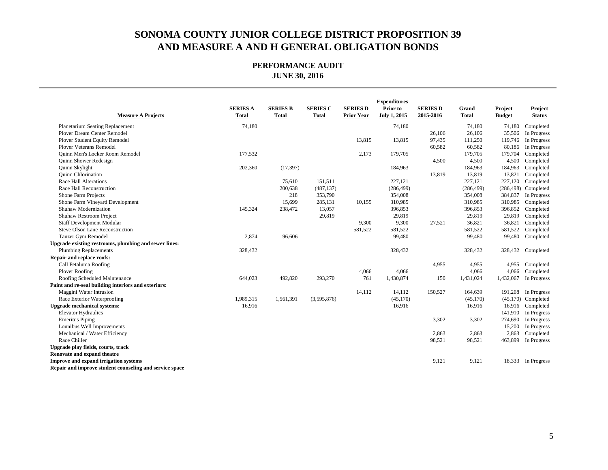| <b>Measure A Projects</b>                               | <b>SERIES A</b><br><b>Total</b> | <b>SERIES B</b><br><b>Total</b> | <b>SERIES C</b><br><b>Total</b> | <b>SERIES D</b><br><b>Prior Year</b> | <b>Expenditures</b><br>Prior to<br><b>July 1, 2015</b> | <b>SERIES D</b><br>2015-2016 | Grand<br><b>Total</b> | Project<br><b>Budget</b> | Project<br><b>Status</b> |
|---------------------------------------------------------|---------------------------------|---------------------------------|---------------------------------|--------------------------------------|--------------------------------------------------------|------------------------------|-----------------------|--------------------------|--------------------------|
| <b>Planetarium Seating Replacement</b>                  | 74,180                          |                                 |                                 |                                      | 74,180                                                 |                              | 74,180                | 74,180                   | Completed                |
| Plover Dream Center Remodel                             |                                 |                                 |                                 |                                      |                                                        | 26,106                       | 26,106                | 35,506                   | In Progress              |
| Plover Student Equity Remodel                           |                                 |                                 |                                 | 13,815                               | 13,815                                                 | 97,435                       | 111,250               | 119,746                  | In Progress              |
| <b>Plover Veterans Remodel</b>                          |                                 |                                 |                                 |                                      |                                                        | 60,582                       | 60,582                | 80,186                   | In Progress              |
| <b>Quinn Men's Locker Room Remodel</b>                  | 177,532                         |                                 |                                 | 2,173                                | 179,705                                                |                              | 179,705               | 179,704                  | Completed                |
| Quinn Shower Redesign                                   |                                 |                                 |                                 |                                      |                                                        | 4,500                        | 4,500                 | 4,500                    | Completed                |
| Quinn Skylight                                          | 202,360                         | (17, 397)                       |                                 |                                      | 184,963                                                |                              | 184,963               | 184,963                  | Completed                |
| Quinn Chlorination                                      |                                 |                                 |                                 |                                      |                                                        | 13,819                       | 13,819                | 13,821                   | Completed                |
| Race Hall Alterations                                   |                                 | 75,610                          | 151,511                         |                                      | 227,121                                                |                              | 227,121               | 227,120                  | Completed                |
| Race Hall Reconstruction                                |                                 | 200,638                         | (487, 137)                      |                                      | (286, 499)                                             |                              | (286, 499)            | (286, 498)               | Completed                |
| Shone Farm Projects                                     |                                 | 218                             | 353,790                         |                                      | 354,008                                                |                              | 354,008               | 384,837                  | In Progress              |
| Shone Farm Vineyard Development                         |                                 | 15,699                          | 285,131                         | 10,155                               | 310,985                                                |                              | 310,985               | 310,985                  | Completed                |
| Shuhaw Modernization                                    | 145,324                         | 238,472                         | 13,057                          |                                      | 396,853                                                |                              | 396,853               | 396,852                  | Completed                |
| Shuhaw Restroom Project                                 |                                 |                                 | 29,819                          |                                      | 29,819                                                 |                              | 29,819                | 29,819                   | Completed                |
| <b>Staff Development Modular</b>                        |                                 |                                 |                                 | 9,300                                | 9,300                                                  | 27,521                       | 36,821                | 36,821                   | Completed                |
| Steve Olson Lane Reconstruction                         |                                 |                                 |                                 | 581,522                              | 581,522                                                |                              | 581,522               | 581,522                  | Completed                |
| Tauzer Gym Remodel                                      | 2,874                           | 96,606                          |                                 |                                      | 99,480                                                 |                              | 99,480                | 99,480                   | Completed                |
| Upgrade existing restrooms, plumbing and sewer lines:   |                                 |                                 |                                 |                                      |                                                        |                              |                       |                          |                          |
| <b>Plumbing Replacements</b>                            | 328,432                         |                                 |                                 |                                      | 328,432                                                |                              | 328,432               | 328,432                  | Completed                |
| Repair and replace roofs:                               |                                 |                                 |                                 |                                      |                                                        |                              |                       |                          |                          |
| Call Petaluma Roofing                                   |                                 |                                 |                                 |                                      |                                                        | 4,955                        | 4,955                 | 4,955                    | Completed                |
| Plover Roofing                                          |                                 |                                 |                                 | 4,066                                | 4,066                                                  |                              | 4,066                 | 4,066                    | Completed                |
| Roofing Scheduled Maintenance                           | 644,023                         | 492,820                         | 293,270                         | 761                                  | 1,430,874                                              | 150                          | 1,431,024             | 1,432,067                | In Progress              |
| Paint and re-seal building interiors and exteriors:     |                                 |                                 |                                 |                                      |                                                        |                              |                       |                          |                          |
| Maggini Water Intrusion                                 |                                 |                                 |                                 | 14,112                               | 14,112                                                 | 150,527                      | 164,639               |                          | 191,268 In Progress      |
| Race Exterior Waterproofing                             | 1,989,315                       | 1,561,391                       | (3,595,876)                     |                                      | (45, 170)                                              |                              | (45,170)              |                          | $(45,170)$ Completed     |
| <b>Upgrade mechanical systems:</b>                      | 16,916                          |                                 |                                 |                                      | 16,916                                                 |                              | 16,916                | 16,916                   | Completed                |
| <b>Elevator Hydraulics</b>                              |                                 |                                 |                                 |                                      |                                                        |                              |                       |                          | 141,910 In Progress      |
| <b>Emeritus Piping</b>                                  |                                 |                                 |                                 |                                      |                                                        | 3,302                        | 3,302                 | 274,690                  | In Progress              |
| Lounibus Well Improvements                              |                                 |                                 |                                 |                                      |                                                        | 2,863                        | 2,863                 | 15,200<br>2,863          | In Progress              |
| Mechanical / Water Efficiency<br>Race Chiller           |                                 |                                 |                                 |                                      |                                                        | 98,521                       | 98,521                | 463,899                  | Completed<br>In Progress |
| Upgrade play fields, courts, track                      |                                 |                                 |                                 |                                      |                                                        |                              |                       |                          |                          |
| Renovate and expand theatre                             |                                 |                                 |                                 |                                      |                                                        |                              |                       |                          |                          |
| Improve and expand irrigation systems                   |                                 |                                 |                                 |                                      |                                                        | 9,121                        | 9,121                 | 18,333                   | In Progress              |
| Repair and improve student counseling and service space |                                 |                                 |                                 |                                      |                                                        |                              |                       |                          |                          |
|                                                         |                                 |                                 |                                 |                                      |                                                        |                              |                       |                          |                          |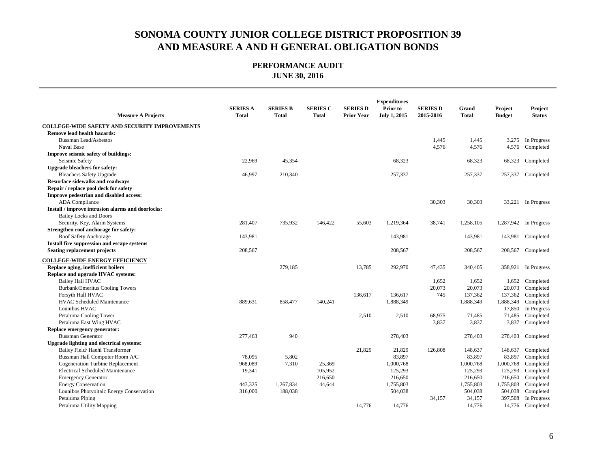| <b>Measure A Projects</b>                            | <b>SERIES A</b><br><b>Total</b> | <b>SERIES B</b><br><b>Total</b> | <b>SERIES C</b><br>Total | <b>SERIES D</b><br><b>Prior Year</b> | <b>Expenditures</b><br>Prior to<br><b>July 1, 2015</b> | <b>SERIES D</b><br>2015-2016 | Grand<br><b>Total</b> | Project<br><b>Budget</b> | Project<br><b>Status</b> |
|------------------------------------------------------|---------------------------------|---------------------------------|--------------------------|--------------------------------------|--------------------------------------------------------|------------------------------|-----------------------|--------------------------|--------------------------|
| <b>COLLEGE-WIDE SAFETY AND SECURITY IMPROVEMENTS</b> |                                 |                                 |                          |                                      |                                                        |                              |                       |                          |                          |
| Remove lead health hazards:                          |                                 |                                 |                          |                                      |                                                        |                              |                       |                          |                          |
| <b>Bussman Lead/Asbestos</b>                         |                                 |                                 |                          |                                      |                                                        | 1,445                        | 1,445                 | 3,275                    | In Progress              |
| Naval Base                                           |                                 |                                 |                          |                                      |                                                        | 4,576                        | 4,576                 | 4,576                    | Completed                |
| Improve seismic safety of buildings:                 |                                 |                                 |                          |                                      |                                                        |                              |                       |                          |                          |
| Seismic Safety                                       | 22,969                          | 45,354                          |                          |                                      | 68,323                                                 |                              | 68,323                | 68,323                   | Completed                |
| <b>Upgrade bleachers for safety:</b>                 |                                 |                                 |                          |                                      |                                                        |                              |                       |                          |                          |
| <b>Bleachers Safety Upgrade</b>                      | 46,997                          | 210,340                         |                          |                                      | 257,337                                                |                              | 257,337               | 257,337                  | Completed                |
| <b>Resurface sidewalks and roadways</b>              |                                 |                                 |                          |                                      |                                                        |                              |                       |                          |                          |
| Repair / replace pool deck for safety                |                                 |                                 |                          |                                      |                                                        |                              |                       |                          |                          |
| Improve pedestrian and disabled access:              |                                 |                                 |                          |                                      |                                                        |                              |                       |                          |                          |
| <b>ADA</b> Compliance                                |                                 |                                 |                          |                                      |                                                        | 30,303                       | 30,303                | 33,221                   | In Progress              |
| Install / improve intrusion alarms and doorlocks:    |                                 |                                 |                          |                                      |                                                        |                              |                       |                          |                          |
| <b>Bailey Locks and Doors</b>                        |                                 |                                 |                          |                                      |                                                        |                              |                       |                          |                          |
| Security, Key, Alarm Systems                         | 281,407                         | 735,932                         | 146,422                  | 55,603                               | 1,219,364                                              | 38,741                       | 1,258,105             | 1,287,942                | In Progress              |
| Strengthen roof anchorage for safety:                |                                 |                                 |                          |                                      |                                                        |                              |                       |                          |                          |
| Roof Safety Anchorage                                | 143,981                         |                                 |                          |                                      | 143,981                                                |                              | 143,981               | 143,981                  | Completed                |
| Install fire suppression and escape systems          |                                 |                                 |                          |                                      |                                                        |                              |                       |                          |                          |
| <b>Seating replacement projects</b>                  | 208,567                         |                                 |                          |                                      | 208,567                                                |                              | 208,567               | 208,567                  | Completed                |
| <b>COLLEGE-WIDE ENERGY EFFICIENCY</b>                |                                 |                                 |                          |                                      |                                                        |                              |                       |                          |                          |
| Replace aging, inefficient boilers                   |                                 | 279,185                         |                          | 13,785                               | 292,970                                                | 47,435                       | 340,405               | 358,921                  | In Progress              |
| Replace and upgrade HVAC systems:                    |                                 |                                 |                          |                                      |                                                        |                              |                       |                          |                          |
| <b>Bailey Hall HVAC</b>                              |                                 |                                 |                          |                                      |                                                        | 1,652                        | 1,652                 | 1,652                    | Completed                |
| Burbank/Emeritus Cooling Towers                      |                                 |                                 |                          |                                      |                                                        | 20,073                       | 20,073                | 20,073                   | Completed                |
| Forsyth Hall HVAC                                    |                                 |                                 |                          | 136,617                              | 136,617                                                | 745                          | 137,362               | 137,362                  | Completed                |
| <b>HVAC Scheduled Maintenance</b>                    | 889,631                         | 858,477                         | 140,241                  |                                      | 1,888,349                                              |                              | 1,888,349             | 1,888,349                | Completed                |
| Lounibus HVAC                                        |                                 |                                 |                          |                                      |                                                        |                              |                       | 17,850                   | In Progress              |
| Petaluma Cooling Tower                               |                                 |                                 |                          | 2,510                                | 2,510                                                  | 68,975                       | 71,485                | 71,485                   | Completed                |
| Petaluma East Wing HVAC                              |                                 |                                 |                          |                                      |                                                        | 3,837                        | 3,837                 | 3,837                    | Completed                |
| Replace emergency generator:                         |                                 |                                 |                          |                                      |                                                        |                              |                       |                          |                          |
| <b>Bussman Generator</b>                             | 277,463                         | 940                             |                          |                                      | 278,403                                                |                              | 278,403               | 278,403                  | Completed                |
| Upgrade lighting and electrical systems:             |                                 |                                 |                          |                                      |                                                        |                              |                       |                          |                          |
| Bailey Field/Haehl Transformer                       |                                 |                                 |                          | 21,829                               | 21,829                                                 | 126,808                      | 148,637               | 148,637                  | Completed                |
| Bussman Hall Computer Room A/C                       | 78,095                          | 5,802                           |                          |                                      | 83,897                                                 |                              | 83,897                | 83,897                   | Completed                |
| <b>Cogeneration Turbine Replacement</b>              | 968,089                         | 7,310                           | 25,369                   |                                      | 1,000,768                                              |                              | 1,000,768             | 1,000,768                | Completed                |
| <b>Electrical Scheduled Maintenance</b>              | 19,341                          |                                 | 105,952                  |                                      | 125,293                                                |                              | 125,293               | 125,293                  | Completed                |
| <b>Emergency Generator</b>                           |                                 |                                 | 216,650                  |                                      | 216,650                                                |                              | 216,650               | 216,650                  | Completed                |
| <b>Energy Conservation</b>                           | 443,325                         | 1,267,834                       | 44,644                   |                                      | 1,755,803                                              |                              | 1,755,803             | 1,755,803                | Completed                |
| Lounibos Photvoltaic Energy Conservation             | 316,000                         | 188,038                         |                          |                                      | 504,038                                                |                              | 504,038               | 504,038                  | Completed                |
| Petaluma Piping                                      |                                 |                                 |                          |                                      |                                                        | 34,157                       | 34,157                | 397,508                  | In Progress              |
| Petaluma Utility Mapping                             |                                 |                                 |                          | 14,776                               | 14,776                                                 |                              | 14,776                | 14,776                   | Completed                |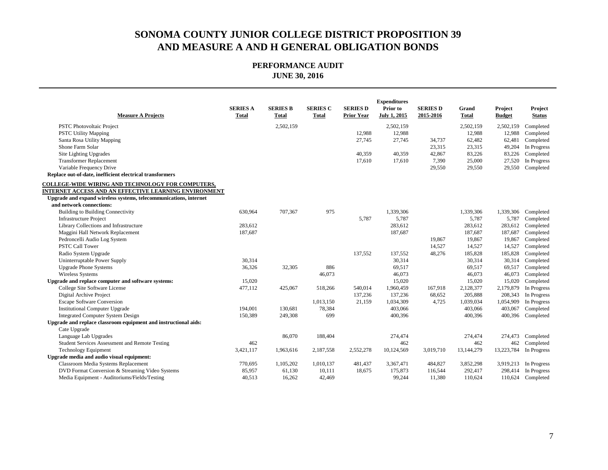| <b>Measure A Projects</b>                                         | <b>SERIES A</b><br><b>Total</b> | <b>SERIES B</b><br><b>Total</b> | <b>SERIES C</b><br><b>Total</b> | <b>SERIES D</b><br><b>Prior Year</b> | <b>Expenditures</b><br>Prior to<br><b>July 1, 2015</b> | <b>SERIES D</b><br>2015-2016 | Grand<br><b>Total</b> | Project<br><b>Budget</b> | Project<br><b>Status</b> |
|-------------------------------------------------------------------|---------------------------------|---------------------------------|---------------------------------|--------------------------------------|--------------------------------------------------------|------------------------------|-----------------------|--------------------------|--------------------------|
| PSTC Photovoltaic Project                                         |                                 | 2,502,159                       |                                 |                                      | 2,502,159                                              |                              | 2,502,159             | 2,502,159                | Completed                |
| <b>PSTC Utility Mapping</b>                                       |                                 |                                 |                                 | 12,988                               | 12,988                                                 |                              | 12,988                | 12,988                   | Completed                |
| Santa Rosa Utility Mapping                                        |                                 |                                 |                                 | 27,745                               | 27,745                                                 | 34,737                       | 62,482                | 62,481                   | Completed                |
| Shone Farm Solar                                                  |                                 |                                 |                                 |                                      |                                                        | 23,315                       | 23,315                | 49,204                   | In Progress              |
| Site Lighting Upgrades                                            |                                 |                                 |                                 | 40,359                               | 40,359                                                 | 42,867                       | 83,226                | 83,226                   | Completed                |
| <b>Transformer Replacement</b>                                    |                                 |                                 |                                 | 17,610                               | 17,610                                                 | 7,390                        | 25,000                | 27,520                   | In Progress              |
| Variable Frequency Drive                                          |                                 |                                 |                                 |                                      |                                                        | 29,550                       | 29,550                | 29,550                   | Completed                |
| Replace out-of-date, inefficient electrical transformers          |                                 |                                 |                                 |                                      |                                                        |                              |                       |                          |                          |
| COLLEGE-WIDE WIRING AND TECHNOLOGY FOR COMPUTERS,                 |                                 |                                 |                                 |                                      |                                                        |                              |                       |                          |                          |
| INTERNET ACCESS AND AN EFFECTIVE LEARNING ENVIRONMENT             |                                 |                                 |                                 |                                      |                                                        |                              |                       |                          |                          |
| Upgrade and expand wireless systems, telecommunications, internet |                                 |                                 |                                 |                                      |                                                        |                              |                       |                          |                          |
| and network connections:                                          |                                 |                                 |                                 |                                      |                                                        |                              |                       |                          |                          |
| <b>Building to Building Connectivity</b>                          | 630,964                         | 707,367                         | 975                             |                                      | 1,339,306                                              |                              | 1,339,306             | 1,339,306                | Completed                |
| <b>Infrastructure Project</b>                                     |                                 |                                 |                                 | 5,787                                | 5,787                                                  |                              | 5,787                 | 5,787                    | Completed                |
| Library Collections and Infrastructure                            | 283,612                         |                                 |                                 |                                      | 283.612                                                |                              | 283,612               | 283,612                  | Completed                |
| Maggini Hall Network Replacement                                  | 187,687                         |                                 |                                 |                                      | 187,687                                                |                              | 187,687               | 187,687                  | Completed                |
| Pedroncelli Audio Log System                                      |                                 |                                 |                                 |                                      |                                                        | 19,867                       | 19,867                | 19,867                   | Completed                |
| <b>PSTC Call Tower</b>                                            |                                 |                                 |                                 |                                      |                                                        | 14,527                       | 14,527                | 14,527                   | Completed                |
| Radio System Upgrade                                              |                                 |                                 |                                 | 137,552                              | 137,552                                                | 48,276                       | 185,828               | 185,828                  | Completed                |
| Uninterruptable Power Supply                                      | 30,314                          |                                 |                                 |                                      | 30,314                                                 |                              | 30,314                | 30,314                   | Completed                |
| <b>Upgrade Phone Systems</b>                                      | 36,326                          | 32,305                          | 886                             |                                      | 69,517                                                 |                              | 69,517                | 69,517                   | Completed                |
| Wireless Systems                                                  |                                 |                                 | 46,073                          |                                      | 46,073                                                 |                              | 46,073                | 46,073                   | Completed                |
| Upgrade and replace computer and software systems:                | 15,020                          |                                 |                                 |                                      | 15,020                                                 |                              | 15,020                | 15,020                   | Completed                |
| College Site Software License                                     | 477,112                         | 425,067                         | 518,266                         | 540,014                              | 1,960,459                                              | 167,918                      | 2,128,377             | 2,179,879                | In Progress              |
| Digital Archive Project                                           |                                 |                                 |                                 | 137,236                              | 137,236                                                | 68,652                       | 205,888               | 208,343                  | In Progress              |
| <b>Escape Software Conversion</b>                                 |                                 |                                 | 1,013,150                       | 21,159                               | 1,034,309                                              | 4,725                        | 1,039,034             | 1,054,909                | In Progress              |
| <b>Institutional Computer Upgrade</b>                             | 194,001                         | 130,681                         | 78,384                          |                                      | 403,066                                                |                              | 403,066               | 403,067                  | Completed                |
| <b>Integrated Computer System Design</b>                          | 150,389                         | 249,308                         | 699                             |                                      | 400,396                                                |                              | 400,396               | 400,396                  | Completed                |
| Upgrade and replace classroom equipment and instructional aids:   |                                 |                                 |                                 |                                      |                                                        |                              |                       |                          |                          |
| Cate Upgrade                                                      |                                 |                                 |                                 |                                      |                                                        |                              |                       |                          |                          |
| Language Lab Upgrades                                             |                                 | 86,070                          | 188,404                         |                                      | 274,474                                                |                              | 274,474               | 274,473                  | Completed                |
| Student Services Assessment and Remote Testing                    | 462                             |                                 |                                 |                                      | 462                                                    |                              | 462                   | 462                      | Completed                |
| <b>Technology Equipment</b>                                       | 3,421,117                       | 1,963,616                       | 2,187,558                       | 2,552,278                            | 10,124,569                                             | 3,019,710                    | 13,144,279            | 13,223,784               | In Progress              |
| Upgrade media and audio visual equipment:                         |                                 |                                 |                                 |                                      |                                                        |                              |                       |                          |                          |
| Classroom Media Systems Replacement                               | 770,695                         | 1,105,202                       | 1,010,137                       | 481,437                              | 3,367,471                                              | 484,827                      | 3,852,298             | 3,919,213                | In Progress              |
| DVD Format Conversion & Streaming Video Systems                   | 85,957                          | 61,130                          | 10,111                          | 18,675                               | 175,873                                                | 116,544                      | 292,417               | 298,414                  | In Progress              |
| Media Equipment - Auditoriums/Fields/Testing                      | 40,513                          | 16,262                          | 42,469                          |                                      | 99,244                                                 | 11,380                       | 110,624               |                          | 110,624 Completed        |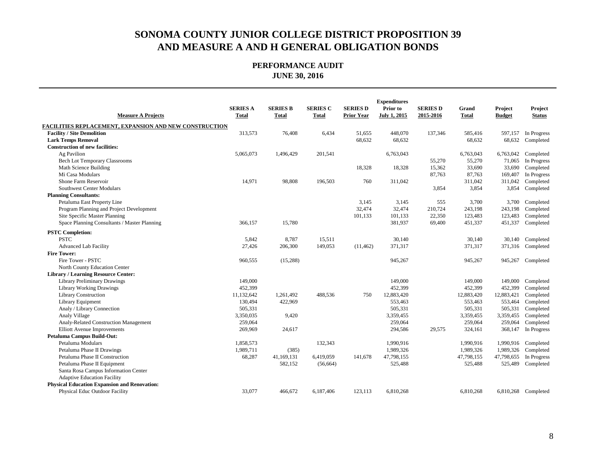| <b>Measure A Projects</b>                              | <b>SERIES A</b><br><b>Total</b> | <b>SERIES B</b><br><b>Total</b> | <b>SERIES C</b><br><b>Total</b> | <b>SERIES D</b><br><b>Prior Year</b> | <b>Expenditures</b><br>Prior to<br>July 1, 2015 | <b>SERIES D</b><br>2015-2016 | Grand<br><b>Total</b> | Project<br><b>Budget</b> | Project<br><b>Status</b> |
|--------------------------------------------------------|---------------------------------|---------------------------------|---------------------------------|--------------------------------------|-------------------------------------------------|------------------------------|-----------------------|--------------------------|--------------------------|
| FACILITIES REPLACEMENT, EXPANSION AND NEW CONSTRUCTION |                                 |                                 |                                 |                                      |                                                 |                              |                       |                          |                          |
| <b>Facility / Site Demolition</b>                      | 313,573                         | 76,408                          | 6,434                           | 51,655                               | 448,070                                         | 137,346                      | 585,416               | 597,157                  | In Progress              |
| <b>Lark Temps Removal</b>                              |                                 |                                 |                                 | 68,632                               | 68,632                                          |                              | 68,632                | 68,632                   | Completed                |
| <b>Construction of new facilities:</b>                 |                                 |                                 |                                 |                                      |                                                 |                              |                       |                          |                          |
| Ag Pavilion                                            | 5,065,073                       | 1,496,429                       | 201,541                         |                                      | 6,763,043                                       |                              | 6,763,043             | 6,763,042                | Completed                |
| <b>Bech Lot Temporary Classrooms</b>                   |                                 |                                 |                                 |                                      |                                                 | 55,270                       | 55,270                | 71,065                   | In Progress              |
| Math Science Building                                  |                                 |                                 |                                 | 18,328                               | 18,328                                          | 15,362                       | 33,690                | 33,690                   | Completed                |
| Mi Casa Modulars                                       |                                 |                                 |                                 |                                      |                                                 | 87,763                       | 87,763                | 169,407                  | In Progress              |
| Shone Farm Reservoir                                   | 14,971                          | 98,808                          | 196,503                         | 760                                  | 311,042                                         |                              | 311,042               | 311,042                  | Completed                |
| Southwest Center Modulars                              |                                 |                                 |                                 |                                      |                                                 | 3,854                        | 3,854                 | 3,854                    | Completed                |
| <b>Planning Consultants:</b>                           |                                 |                                 |                                 |                                      |                                                 |                              |                       |                          |                          |
| Petaluma East Property Line                            |                                 |                                 |                                 | 3,145                                | 3,145                                           | 555                          | 3,700                 |                          | 3,700 Completed          |
| Program Planning and Project Development               |                                 |                                 |                                 | 32,474                               | 32,474                                          | 210,724                      | 243,198               | 243,198                  | Completed                |
| Site Specific Master Planning                          |                                 |                                 |                                 | 101,133                              | 101,133                                         | 22,350                       | 123,483               | 123,483                  | Completed                |
| Space Planning Consultants / Master Planning           | 366,157                         | 15,780                          |                                 |                                      | 381,937                                         | 69,400                       | 451,337               | 451,337                  | Completed                |
| <b>PSTC Completion:</b>                                |                                 |                                 |                                 |                                      |                                                 |                              |                       |                          |                          |
| <b>PSTC</b>                                            | 5,842                           | 8,787                           | 15,511                          |                                      | 30,140                                          |                              | 30,140                | 30,140                   | Completed                |
| <b>Advanced Lab Facility</b>                           | 27,426                          | 206,300                         | 149,053                         | (11, 462)                            | 371,317                                         |                              | 371,317               | 371,316                  | Completed                |
| <b>Fire Tower:</b>                                     |                                 |                                 |                                 |                                      |                                                 |                              |                       |                          |                          |
| Fire Tower - PSTC                                      | 960,555                         | (15,288)                        |                                 |                                      | 945,267                                         |                              | 945,267               | 945,267                  | Completed                |
| North County Education Center                          |                                 |                                 |                                 |                                      |                                                 |                              |                       |                          |                          |
| <b>Library / Learning Resource Center:</b>             |                                 |                                 |                                 |                                      |                                                 |                              |                       |                          |                          |
| <b>Library Preliminary Drawings</b>                    | 149,000                         |                                 |                                 |                                      | 149,000                                         |                              | 149,000               | 149,000                  | Completed                |
| <b>Library Working Drawings</b>                        | 452,399                         |                                 |                                 |                                      | 452,399                                         |                              | 452,399               | 452,399                  | Completed                |
| Library Construction                                   | 11,132,642                      | 1,261,492                       | 488,536                         | 750                                  | 12,883,420                                      |                              | 12,883,420            | 12,883,421               | Completed                |
| Library Equipment                                      | 130,494                         | 422,969                         |                                 |                                      | 553,463                                         |                              | 553,463               | 553,464                  | Completed                |
| Analy / Library Connection                             | 505,331                         |                                 |                                 |                                      | 505,331                                         |                              | 505,331               | 505,331                  | Completed                |
| Analy Village                                          | 3,350,035                       | 9,420                           |                                 |                                      | 3,359,455                                       |                              | 3,359,455             | 3,359,455                | Completed                |
| Analy-Related Construction Management                  | 259,064                         |                                 |                                 |                                      | 259,064                                         |                              | 259,064               | 259,064                  | Completed                |
| <b>Elliott Avenue Improvements</b>                     | 269,969                         | 24,617                          |                                 |                                      | 294,586                                         | 29,575                       | 324,161               | 368,147                  | In Progress              |
| Petaluma Campus Build-Out:                             |                                 |                                 |                                 |                                      |                                                 |                              |                       |                          |                          |
| Petaluma Modulars                                      | 1,858,573                       |                                 | 132,343                         |                                      | 1,990,916                                       |                              | 1,990,916             | 1,990,916                | Completed                |
| Petaluma Phase II Drawings                             | 1,989,711                       | (385)                           |                                 |                                      | 1,989,326                                       |                              | 1,989,326             | 1,989,326                | Completed                |
| Petaluma Phase II Construction                         | 68,287                          | 41,169,131                      | 6,419,059                       | 141,678                              | 47,798,155                                      |                              | 47,798,155            | 47,798,655               | In Progress              |
| Petaluma Phase II Equipment                            |                                 | 582,152                         | (56, 664)                       |                                      | 525,488                                         |                              | 525,488               | 525,489                  | Completed                |
| Santa Rosa Campus Information Center                   |                                 |                                 |                                 |                                      |                                                 |                              |                       |                          |                          |
| <b>Adaptive Education Facility</b>                     |                                 |                                 |                                 |                                      |                                                 |                              |                       |                          |                          |
| <b>Physical Education Expansion and Renovation:</b>    |                                 |                                 |                                 |                                      |                                                 |                              |                       |                          |                          |
| Physical Educ Outdoor Facility                         | 33,077                          | 466,672                         | 6,187,406                       | 123,113                              | 6,810,268                                       |                              | 6,810,268             |                          | 6,810,268 Completed      |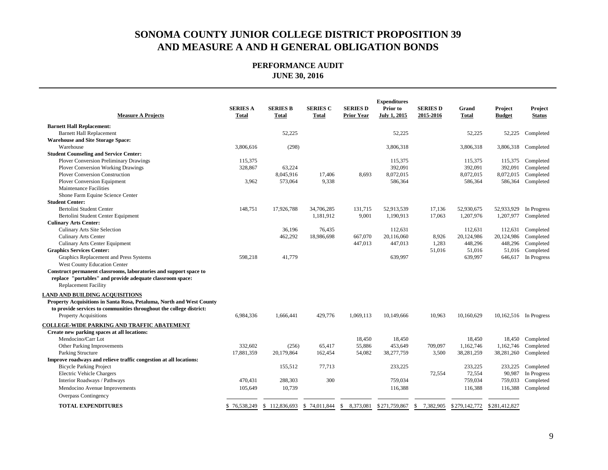| <b>Measure A Projects</b>                                            | <b>SERIES A</b><br>Total | <b>SERIES B</b><br><b>Total</b> | <b>SERIES C</b><br><b>Total</b> | <b>SERIES D</b><br><b>Prior Year</b> | <b>Expenditures</b><br>Prior to<br>July 1, 2015 | <b>SERIES D</b><br>2015-2016 | Grand<br>Total | Project<br><b>Budget</b> | Project<br><b>Status</b> |
|----------------------------------------------------------------------|--------------------------|---------------------------------|---------------------------------|--------------------------------------|-------------------------------------------------|------------------------------|----------------|--------------------------|--------------------------|
| <b>Barnett Hall Replacement:</b>                                     |                          |                                 |                                 |                                      |                                                 |                              |                |                          |                          |
| <b>Barnett Hall Replacement</b>                                      |                          | 52,225                          |                                 |                                      | 52,225                                          |                              | 52,225         | 52,225                   | Completed                |
| <b>Warehouse and Site Storage Space:</b>                             |                          |                                 |                                 |                                      |                                                 |                              |                |                          |                          |
| Warehouse                                                            | 3,806,616                | (298)                           |                                 |                                      | 3,806,318                                       |                              | 3,806,318      | 3,806,318                | Completed                |
| <b>Student Counseling and Service Center:</b>                        |                          |                                 |                                 |                                      |                                                 |                              |                |                          |                          |
| <b>Plover Conversion Preliminary Drawings</b>                        | 115,375                  |                                 |                                 |                                      | 115,375                                         |                              | 115,375        | 115,375                  | Completed                |
| <b>Plover Conversion Working Drawings</b>                            | 328,867                  | 63,224                          |                                 |                                      | 392,091                                         |                              | 392,091        | 392,091                  | Completed                |
| <b>Plover Conversion Construction</b>                                |                          | 8,045,916                       | 17,406                          | 8,693                                | 8,072,015                                       |                              | 8,072,015      | 8,072,015                | Completed                |
| <b>Plover Conversion Equipment</b>                                   | 3,962                    | 573,064                         | 9,338                           |                                      | 586,364                                         |                              | 586,364        | 586,364                  | Completed                |
| <b>Maintenance Facilities</b>                                        |                          |                                 |                                 |                                      |                                                 |                              |                |                          |                          |
| Shone Farm Equine Science Center                                     |                          |                                 |                                 |                                      |                                                 |                              |                |                          |                          |
| <b>Student Center:</b>                                               |                          |                                 |                                 |                                      |                                                 |                              |                |                          |                          |
| Bertolini Student Center                                             | 148,751                  | 17,926,788                      | 34,706,285                      | 131,715                              | 52.913.539                                      | 17,136                       | 52,930,675     | 52,933,929               | In Progress              |
| Bertolini Student Center Equipment                                   |                          |                                 | 1,181,912                       | 9,001                                | 1,190,913                                       | 17,063                       | 1,207,976      | 1,207,977                | Completed                |
| <b>Culinary Arts Center:</b>                                         |                          |                                 |                                 |                                      |                                                 |                              |                |                          |                          |
| <b>Culinary Arts Site Selection</b>                                  |                          | 36,196                          | 76,435                          |                                      | 112,631                                         |                              | 112,631        | 112,631                  | Completed                |
| <b>Culinary Arts Center</b>                                          |                          | 462,292                         | 18,986,698                      | 667,070                              | 20,116,060                                      | 8,926                        | 20,124,986     | 20,124,986               | Completed                |
| <b>Culinary Arts Center Equipment</b>                                |                          |                                 |                                 | 447,013                              | 447,013                                         | 1,283                        | 448,296        | 448,296                  | Completed                |
| <b>Graphics Services Center:</b>                                     |                          |                                 |                                 |                                      |                                                 | 51,016                       | 51,016         | 51,016                   | Completed                |
| Graphics Replacement and Press Systems                               | 598,218                  | 41,779                          |                                 |                                      | 639,997                                         |                              | 639,997        | 646,617                  | In Progress              |
| West County Education Center                                         |                          |                                 |                                 |                                      |                                                 |                              |                |                          |                          |
| Construct permanent classrooms, laboratories and support space to    |                          |                                 |                                 |                                      |                                                 |                              |                |                          |                          |
| replace "portables" and provide adequate classroom space:            |                          |                                 |                                 |                                      |                                                 |                              |                |                          |                          |
| <b>Replacement Facility</b>                                          |                          |                                 |                                 |                                      |                                                 |                              |                |                          |                          |
| <b>LAND AND BUILDING ACOUISITIONS</b>                                |                          |                                 |                                 |                                      |                                                 |                              |                |                          |                          |
| Property Acquisitions in Santa Rosa, Petaluma, North and West County |                          |                                 |                                 |                                      |                                                 |                              |                |                          |                          |
| to provide services to communities throughout the college district:  |                          |                                 |                                 |                                      |                                                 |                              |                |                          |                          |
| <b>Property Acquisitions</b>                                         | 6,984,336                | 1,666,441                       | 429,776                         | 1,069,113                            | 10,149,666                                      | 10,963                       | 10,160,629     |                          | 10,162,516 In Progress   |
|                                                                      |                          |                                 |                                 |                                      |                                                 |                              |                |                          |                          |
| COLLEGE-WIDE PARKING AND TRAFFIC ABATEMENT                           |                          |                                 |                                 |                                      |                                                 |                              |                |                          |                          |
| Create new parking spaces at all locations:                          |                          |                                 |                                 |                                      |                                                 |                              |                |                          |                          |
| Mendocino/Carr Lot                                                   |                          |                                 |                                 | 18,450                               | 18,450                                          |                              | 18,450         | 18,450                   | Completed                |
| Other Parking Improvements                                           | 332,602                  | (256)                           | 65,417                          | 55,886                               | 453,649                                         | 709,097                      | 1,162,746      | 1,162,746                | Completed                |
| Parking Structure                                                    | 17,881,359               | 20,179,864                      | 162,454                         | 54,082                               | 38,277,759                                      | 3,500                        | 38,281,259     | 38,281,260               | Completed                |
| Improve roadways and relieve traffic congestion at all locations:    |                          |                                 |                                 |                                      |                                                 |                              |                |                          |                          |
| <b>Bicycle Parking Project</b>                                       |                          | 155,512                         | 77,713                          |                                      | 233,225                                         |                              | 233,225        | 233,225                  | Completed                |
| <b>Electric Vehicle Chargers</b>                                     |                          |                                 |                                 |                                      |                                                 | 72,554                       | 72,554         | 90,987                   | In Progress              |
| Interior Roadways / Pathways                                         | 470,431                  | 288,303                         | 300                             |                                      | 759,034                                         |                              | 759,034        | 759,033                  | Completed                |
| Mendocino Avenue Improvements                                        | 105,649                  | 10,739                          |                                 |                                      | 116,388                                         |                              | 116,388        | 116,388                  | Completed                |
| Overpass Contingency                                                 |                          |                                 |                                 |                                      |                                                 |                              |                |                          |                          |
| <b>TOTAL EXPENDITURES</b>                                            | \$76,538,249             | \$112,836,693                   | \$74,011,844                    | \$<br>8,373,081                      | \$271,759,867                                   | \$ 7,382,905                 | \$279,142,772  | \$281,412,827            |                          |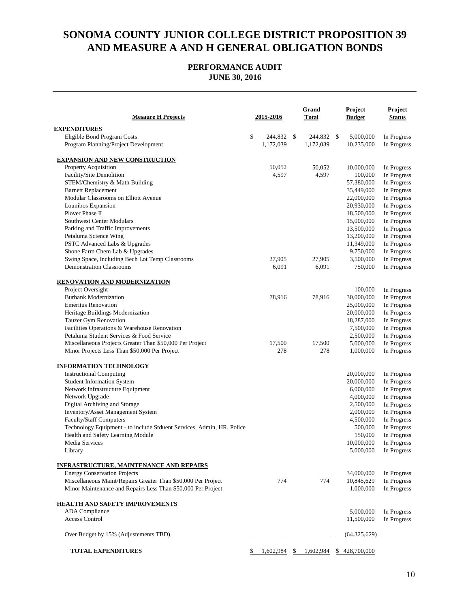| <b>Mesaure H Projects</b>                                             | 2015-2016        | Grand<br>Total  |     | Project<br><b>Budget</b> | <b>Project</b><br><b>Status</b> |
|-----------------------------------------------------------------------|------------------|-----------------|-----|--------------------------|---------------------------------|
| <b>EXPENDITURES</b>                                                   |                  |                 |     |                          |                                 |
| Eligible Bond Program Costs                                           | \$<br>244,832 \$ | 244,832 \$      |     | 5,000,000                | In Progress                     |
| Program Planning/Project Development                                  | 1,172,039        | 1,172,039       |     | 10,235,000               | In Progress                     |
| <b>EXPANSION AND NEW CONSTRUCTION</b>                                 |                  |                 |     |                          |                                 |
| Property Acquisition                                                  | 50,052           | 50,052          |     | 10,000,000               | In Progress                     |
| Facility/Site Demolition                                              | 4,597            | 4,597           |     | 100,000                  | In Progress                     |
| STEM/Chemistry & Math Building                                        |                  |                 |     | 57,380,000               | In Progress                     |
| <b>Barnett Replacement</b>                                            |                  |                 |     | 35,449,000               | In Progress                     |
| Modular Classrooms on Elliott Avenue                                  |                  |                 |     | 22,000,000               | In Progress                     |
| Lounibos Expansion                                                    |                  |                 |     | 20,930,000               | In Progress                     |
| Plover Phase II                                                       |                  |                 |     | 18,500,000               | In Progress                     |
| Southwest Center Modulars                                             |                  |                 |     | 15,000,000               | In Progress                     |
| Parking and Traffic Improvements                                      |                  |                 |     | 13,500,000               | In Progress                     |
| Petaluma Science Wing                                                 |                  |                 |     | 13,200,000               | In Progress                     |
| PSTC Advanced Labs & Upgrades                                         |                  |                 |     | 11,349,000               | In Progress                     |
| Shone Farm Chem Lab & Upgrades                                        |                  |                 |     | 9,750,000                | In Progress                     |
| Swing Space, Including Bech Lot Temp Classrooms                       | 27,905           | 27,905          |     | 3,500,000                | In Progress                     |
| <b>Demonstration Classrooms</b>                                       | 6,091            | 6,091           |     | 750,000                  | In Progress                     |
| <u>RENOVATION AND MODERNIZATION</u>                                   |                  |                 |     |                          |                                 |
| Project Oversight                                                     |                  |                 |     | 100,000                  | In Progress                     |
| <b>Burbank Modernization</b>                                          | 78,916           | 78,916          |     | 30,000,000               | In Progress                     |
| <b>Emeritus Renovation</b>                                            |                  |                 |     | 25,000,000               | In Progress                     |
| Heritage Buildings Modernization                                      |                  |                 |     | 20,000,000               | In Progress                     |
| <b>Tauzer Gym Renovation</b>                                          |                  |                 |     | 18,287,000               | In Progress                     |
| Facilities Operations & Warehouse Renovation                          |                  |                 |     | 7,500,000                | In Progress                     |
| Petaluma Student Services & Food Service                              |                  |                 |     | 2,500,000                | In Progress                     |
| Miscellaneous Projects Greater Than \$50,000 Per Project              | 17,500           | 17,500          |     | 5,000,000                | In Progress                     |
| Minor Projects Less Than \$50,000 Per Project                         | 278              | 278             |     | 1,000,000                | In Progress                     |
| <b>INFORMATION TECHNOLOGY</b>                                         |                  |                 |     |                          |                                 |
| <b>Instructional Computing</b>                                        |                  |                 |     | 20,000,000               | In Progress                     |
| <b>Student Information System</b>                                     |                  |                 |     | 20,000,000               | In Progress                     |
| Network Infrastructure Equipment                                      |                  |                 |     | 6,000,000                | In Progress                     |
| Network Upgrade                                                       |                  |                 |     | 4,000,000                | In Progress                     |
| Digital Archiving and Storage                                         |                  |                 |     | 2,500,000                | In Progress                     |
| Inventory/Asset Management System                                     |                  |                 |     | 2,000,000                | In Progress                     |
| <b>Faculty/Staff Computers</b>                                        |                  |                 |     | 4,500,000                | In Progress                     |
| Technology Equipment - to include Stduent Services, Admin, HR, Police |                  |                 |     | 500,000                  | In Progress                     |
| Health and Safety Learning Module<br>Media Services                   |                  |                 |     | 150,000                  | In Progress<br>In Progress      |
| Library                                                               |                  |                 |     | 10,000,000<br>5,000,000  |                                 |
|                                                                       |                  |                 |     |                          | In Progress                     |
| <b>INFRASTRUCTURE, MAINTENANCE AND REPAIRS</b>                        |                  |                 |     |                          |                                 |
| <b>Energy Conservation Projects</b>                                   |                  |                 |     | 34,000,000               | In Progress                     |
| Miscellaneous Maint/Repairs Greater Than \$50,000 Per Project         | 774              | 774             |     | 10,845,629               | In Progress                     |
| Minor Maintenance and Repairs Less Than \$50,000 Per Project          |                  |                 |     | 1,000,000                | In Progress                     |
| HEALTH AND SAFETY IMPROVEMENTS                                        |                  |                 |     |                          |                                 |
| <b>ADA</b> Compliance                                                 |                  |                 |     | 5,000,000                | In Progress                     |
| <b>Access Control</b>                                                 |                  |                 |     | 11,500,000               | In Progress                     |
| Over Budget by 15% (Adjustements TBD)                                 |                  |                 |     | (64, 325, 629)           |                                 |
| <b>TOTAL EXPENDITURES</b>                                             | \$<br>1,602,984  | \$<br>1,602,984 | \$. | 428,700,000              |                                 |